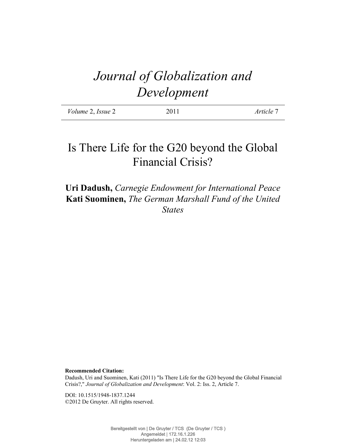# *Journal of Globalization and Development*

| Volume 2, Issue 2 | 2011 | Article <sup>7</sup> |
|-------------------|------|----------------------|
|                   |      |                      |

# Is There Life for the G20 beyond the Global Financial Crisis?

**Uri Dadush,** *Carnegie Endowment for International Peace* **Kati Suominen,** *The German Marshall Fund of the United States*

**Recommended Citation:**

Dadush, Uri and Suominen, Kati (2011) "Is There Life for the G20 beyond the Global Financial Crisis?," *Journal of Globalization and Development*: Vol. 2: Iss. 2, Article 7.

DOI: 10.1515/1948-1837.1244 ©2012 De Gruyter. All rights reserved.

> Bereitgestellt von | De Gruyter / TCS (De Gruyter / TCS ) Angemeldet | 172.16.1.226 Heruntergeladen am | 24.02.12 12:03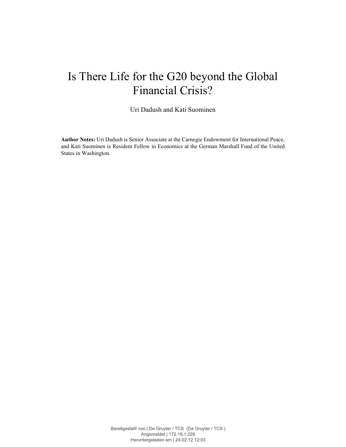# Is There Life for the G20 beyond the Global Financial Crisis?

Uri Dadush and Kati Suominen

**Author Notes:** Uri Dadush is Senior Associate at the Carnegie Endowment for International Peace, and Kati Suominen is Resident Fellow in Economics at the German Marshall Fund of the United States in Washington.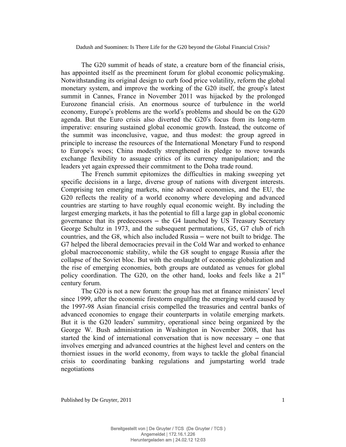The G20 summit of heads of state, a creature born of the financial crisis, has appointed itself as the preeminent forum for global economic policymaking. Notwithstanding its original design to curb food price volatility, reform the global monetary system, and improve the working of the G20 itself, the group's latest summit in Cannes, France in November 2011 was hijacked by the prolonged Eurozone financial crisis. An enormous source of turbulence in the world economy, Europe's problems are the world's problems and should be on the G20 agenda. But the Euro crisis also diverted the G20's focus from its long-term imperative: ensuring sustained global economic growth. Instead, the outcome of the summit was inconclusive, vague, and thus modest: the group agreed in principle to increase the resources of the International Monetary Fund to respond to Europe's woes; China modestly strengthened its pledge to move towards exchange flexibility to assuage critics of its currency manipulation; and the leaders yet again expressed their commitment to the Doha trade round.

The French summit epitomizes the difficulties in making sweeping yet specific decisions in a large, diverse group of nations with divergent interests. Comprising ten emerging markets, nine advanced economies, and the EU, the G20 reflects the reality of a world economy where developing and advanced countries are starting to have roughly equal economic weight. By including the largest emerging markets, it has the potential to fill a large gap in global economic governance that its predecessors – the G4 launched by US Treasury Secretary George Schultz in 1973, and the subsequent permutations, G5, G7 club of rich countries, and the G8, which also included Russia – were not built to bridge. The G7 helped the liberal democracies prevail in the Cold War and worked to enhance global macroeconomic stability, while the G8 sought to engage Russia after the collapse of the Soviet bloc. But with the onslaught of economic globalization and the rise of emerging economies, both groups are outdated as venues for global policy coordination. The G20, on the other hand, looks and feels like a  $21<sup>st</sup>$ century forum.

The G20 is not a new forum: the group has met at finance ministers' level since 1999, after the economic firestorm engulfing the emerging world caused by the 1997-98 Asian financial crisis compelled the treasuries and central banks of advanced economies to engage their counterparts in volatile emerging markets. But it is the G20 leaders' summitry, operational since being organized by the George W. Bush administration in Washington in November 2008, that has started the kind of international conversation that is now necessary – one that involves emerging and advanced countries at the highest level and centers on the thorniest issues in the world economy, from ways to tackle the global financial crisis to coordinating banking regulations and jumpstarting world trade negotiations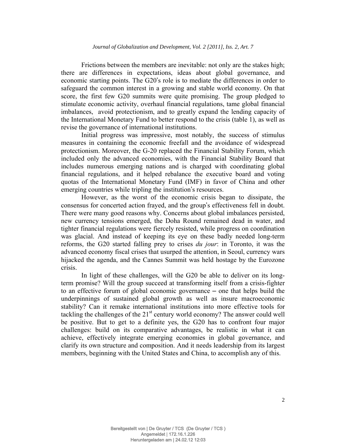Frictions between the members are inevitable: not only are the stakes high; there are differences in expectations, ideas about global governance, and economic starting points. The G20's role is to mediate the differences in order to safeguard the common interest in a growing and stable world economy. On that score, the first few G20 summits were quite promising. The group pledged to stimulate economic activity, overhaul financial regulations, tame global financial imbalances, avoid protectionism, and to greatly expand the lending capacity of the International Monetary Fund to better respond to the crisis (table 1), as well as revise the governance of international institutions.

Initial progress was impressive, most notably, the success of stimulus measures in containing the economic freefall and the avoidance of widespread protectionism. Moreover, the G-20 replaced the Financial Stability Forum, which included only the advanced economies, with the Financial Stability Board that includes numerous emerging nations and is charged with coordinating global financial regulations, and it helped rebalance the executive board and voting quotas of the International Monetary Fund (IMF) in favor of China and other emerging countries while tripling the institution's resources.

However, as the worst of the economic crisis began to dissipate, the consensus for concerted action frayed, and the group's effectiveness fell in doubt. There were many good reasons why. Concerns about global imbalances persisted, new currency tensions emerged, the Doha Round remained dead in water, and tighter financial regulations were fiercely resisted, while progress on coordination was glacial. And instead of keeping its eye on these badly needed long-term reforms, the G20 started falling prey to crises *du jour*: in Toronto, it was the advanced economy fiscal crises that usurped the attention, in Seoul, currency wars hijacked the agenda, and the Cannes Summit was held hostage by the Eurozone crisis.

In light of these challenges, will the G20 be able to deliver on its longterm promise? Will the group succeed at transforming itself from a crisis-fighter to an effective forum of global economic governance – one that helps build the underpinnings of sustained global growth as well as insure macroeconomic stability? Can it remake international institutions into more effective tools for tackling the challenges of the  $21<sup>st</sup>$  century world economy? The answer could well be positive. But to get to a definite yes, the G20 has to confront four major challenges: build on its comparative advantages, be realistic in what it can achieve, effectively integrate emerging economies in global governance, and clarify its own structure and composition. And it needs leadership from its largest members, beginning with the United States and China, to accomplish any of this.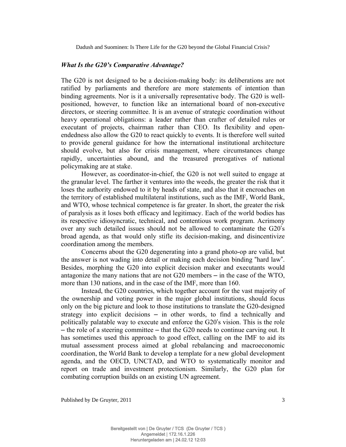#### *What Is the G20's Comparative Advantage?*

The G20 is not designed to be a decision-making body: its deliberations are not ratified by parliaments and therefore are more statements of intention than binding agreements. Nor is it a universally representative body. The G20 is wellpositioned, however, to function like an international board of non-executive directors, or steering committee. It is an avenue of strategic coordination without heavy operational obligations: a leader rather than crafter of detailed rules or executant of projects, chairman rather than CEO. Its flexibility and openendedness also allow the G20 to react quickly to events. It is therefore well suited to provide general guidance for how the international institutional architecture should evolve, but also for crisis management, where circumstances change rapidly, uncertainties abound, and the treasured prerogatives of national policymaking are at stake.

However, as coordinator-in-chief, the G20 is not well suited to engage at the granular level. The farther it ventures into the weeds, the greater the risk that it loses the authority endowed to it by heads of state, and also that it encroaches on the territory of established multilateral institutions, such as the IMF, World Bank, and WTO, whose technical competence is far greater. In short, the greater the risk of paralysis as it loses both efficacy and legitimacy. Each of the world bodies has its respective idiosyncratic, technical, and contentious work program. Acrimony over any such detailed issues should not be allowed to contaminate the G20's broad agenda, as that would only stifle its decision-making, and disincentivize coordination among the members.

Concerns about the G20 degenerating into a grand photo-op are valid, but the answer is not wading into detail or making each decision binding "hard law". Besides, morphing the G20 into explicit decision maker and executants would antagonize the many nations that are not G20 members – in the case of the WTO, more than 130 nations, and in the case of the IMF, more than 160.

Instead, the G20 countries, which together account for the vast majority of the ownership and voting power in the major global institutions, should focus only on the big picture and look to those institutions to translate the G20-designed strategy into explicit decisions – in other words, to find a technically and politically palatable way to execute and enforce the G20's vision. This is the role – the role of a steering committee – that the G20 needs to continue carving out. It has sometimes used this approach to good effect, calling on the IMF to aid its mutual assessment process aimed at global rebalancing and macroeconomic coordination, the World Bank to develop a template for a new global development agenda, and the OECD, UNCTAD, and WTO to systematically monitor and report on trade and investment protectionism. Similarly, the G20 plan for combating corruption builds on an existing UN agreement.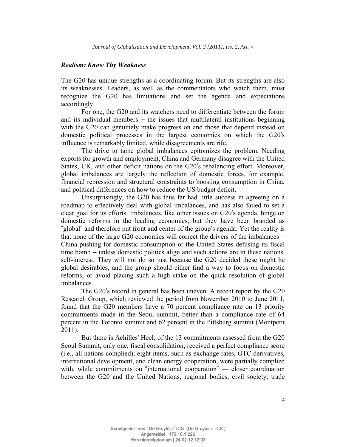## *Realism: Know Thy Weakness*

The G20 has unique strengths as a coordinating forum. But its strengths are also its weaknesses. Leaders, as well as the commentators who watch them, must recognize the G20 has limitations and set the agenda and expectations accordingly.

For one, the G20 and its watchers need to differentiate between the forum and its individual members – the issues that multilateral institutions beginning with the G20 can genuinely make progress on and those that depend instead on domestic political processes in the largest economies on which the G20's influence is remarkably limited, while disagreements are rife.

The drive to tame global imbalances epitomizes the problem. Needing exports for growth and employment, China and Germany disagree with the United States, UK, and other deficit nations on the G20's rebalancing effort. Moreover, global imbalances are largely the reflection of domestic forces, for example, financial repression and structural constraints to boosting consumption in China, and political differences on how to reduce the US budget deficit.

Unsurprisingly, the G20 has thus far had little success in agreeing on a roadmap to effectively deal with global imbalances, and has also failed to set a clear goal for its efforts. Imbalances, like other issues on G20's agenda, hinge on domestic reforms in the leading economies, but they have been branded as "global" and therefore put front and center of the group's agenda. Yet the reality is that none of the large  $G20$  economies will correct the drivers of the imbalances  $-$ China pushing for domestic consumption or the United States defusing its fiscal time bomb – unless domestic politics align and such actions are in these nations' self-interest. They will not do so just because the G20 decided these might be global desirables, and the group should either find a way to focus on domestic reforms, or avoid placing such a high stake on the quick resolution of global imbalances.

The G20's record in general has been uneven. A recent report by the G20 Research Group, which reviewed the period from November 2010 to June 2011, found that the G20 members have a 70 percent compliance rate on 13 priority commitments made in the Seoul summit, better than a compliance rate of 64 percent in the Toronto summit and 62 percent in the Pittsburg summit (Montpetit 2011).

But there is Achilles' Heel: of the 13 commitments assessed from the G20 Seoul Summit, only one, fiscal consolidation, received a perfect compliance score (i.e., all nations complied); eight items, such as exchange rates, OTC derivatives, international development, and clean energy cooperation, were partially complied with, while commitments on "international cooperation" — closer coordination between the G20 and the United Nations, regional bodies, civil society, trade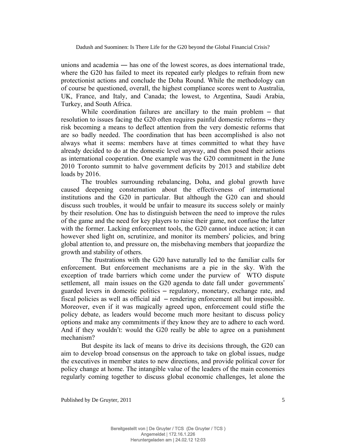unions and academia ― has one of the lowest scores, as does international trade, where the G20 has failed to meet its repeated early pledges to refrain from new protectionist actions and conclude the Doha Round. While the methodology can of course be questioned, overall, the highest compliance scores went to Australia, UK, France, and Italy, and Canada; the lowest, to Argentina, Saudi Arabia, Turkey, and South Africa.

While coordination failures are ancillary to the main problem – that resolution to issues facing the G20 often requires painful domestic reforms – they risk becoming a means to deflect attention from the very domestic reforms that are so badly needed. The coordination that has been accomplished is also not always what it seems: members have at times committed to what they have already decided to do at the domestic level anyway, and then posed their actions as international cooperation. One example was the G20 commitment in the June 2010 Toronto summit to halve government deficits by 2013 and stabilize debt loads by 2016.

The troubles surrounding rebalancing, Doha, and global growth have caused deepening consternation about the effectiveness of international institutions and the G20 in particular. But although the G20 can and should discuss such troubles, it would be unfair to measure its success solely or mainly by their resolution. One has to distinguish between the need to improve the rules of the game and the need for key players to raise their game, not confuse the latter with the former. Lacking enforcement tools, the G20 cannot induce action; it can however shed light on, scrutinize, and monitor its members' policies, and bring global attention to, and pressure on, the misbehaving members that jeopardize the growth and stability of others.

The frustrations with the G20 have naturally led to the familiar calls for enforcement. But enforcement mechanisms are a pie in the sky. With the exception of trade barriers which come under the purview of WTO dispute settlement, all main issues on the G20 agenda to date fall under governments' guarded levers in domestic politics – regulatory, monetary, exchange rate, and fiscal policies as well as official aid – rendering enforcement all but impossible. Moreover, even if it was magically agreed upon, enforcement could stifle the policy debate, as leaders would become much more hesitant to discuss policy options and make any commitments if they know they are to adhere to each word. And if they wouldn't: would the G20 really be able to agree on a punishment mechanism?

But despite its lack of means to drive its decisions through, the G20 can aim to develop broad consensus on the approach to take on global issues, nudge the executives in member states to new directions, and provide political cover for policy change at home. The intangible value of the leaders of the main economies regularly coming together to discuss global economic challenges, let alone the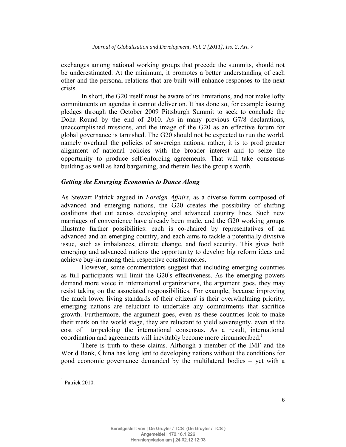exchanges among national working groups that precede the summits, should not be underestimated. At the minimum, it promotes a better understanding of each other and the personal relations that are built will enhance responses to the next crisis.

In short, the G20 itself must be aware of its limitations, and not make lofty commitments on agendas it cannot deliver on. It has done so, for example issuing pledges through the October 2009 Pittsburgh Summit to seek to conclude the Doha Round by the end of 2010. As in many previous G7/8 declarations, unaccomplished missions, and the image of the G20 as an effective forum for global governance is tarnished. The G20 should not be expected to run the world, namely overhaul the policies of sovereign nations; rather, it is to prod greater alignment of national policies with the broader interest and to seize the opportunity to produce self-enforcing agreements. That will take consensus building as well as hard bargaining, and therein lies the group's worth.

#### *Getting the Emerging Economies to Dance Along*

As Stewart Patrick argued in *Foreign Affairs*, as a diverse forum composed of advanced and emerging nations, the G20 creates the possibility of shifting coalitions that cut across developing and advanced country lines. Such new marriages of convenience have already been made, and the G20 working groups illustrate further possibilities: each is co-chaired by representatives of an advanced and an emerging country, and each aims to tackle a potentially divisive issue, such as imbalances, climate change, and food security. This gives both emerging and advanced nations the opportunity to develop big reform ideas and achieve buy-in among their respective constituencies.

However, some commentators suggest that including emerging countries as full participants will limit the G20's effectiveness. As the emerging powers demand more voice in international organizations, the argument goes, they may resist taking on the associated responsibilities. For example, because improving the much lower living standards of their citizens' is their overwhelming priority, emerging nations are reluctant to undertake any commitments that sacrifice growth. Furthermore, the argument goes, even as these countries look to make their mark on the world stage, they are reluctant to yield sovereignty, even at the cost of torpedoing the international consensus. As a result, international coordination and agreements will inevitably become more circumscribed.<sup>1</sup>

There is truth to these claims. Although a member of the IMF and the World Bank, China has long lent to developing nations without the conditions for good economic governance demanded by the multilateral bodies – yet with a

 $\overline{a}$ 

 $<sup>1</sup>$  Patrick 2010.</sup>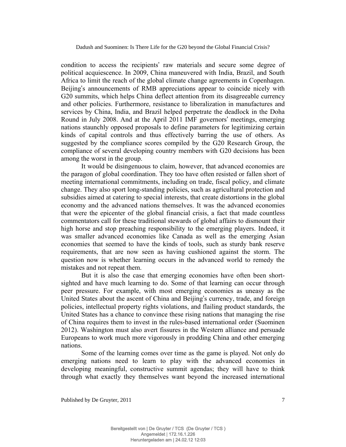condition to access the recipients' raw materials and secure some degree of political acquiescence. In 2009, China maneuvered with India, Brazil, and South Africa to limit the reach of the global climate change agreements in Copenhagen. Beijing's announcements of RMB appreciations appear to coincide nicely with G20 summits, which helps China deflect attention from its disagreeable currency and other policies. Furthermore, resistance to liberalization in manufactures and services by China, India, and Brazil helped perpetrate the deadlock in the Doha Round in July 2008. And at the April 2011 IMF governors' meetings, emerging nations staunchly opposed proposals to define parameters for legitimizing certain kinds of capital controls and thus effectively barring the use of others. As suggested by the compliance scores compiled by the G20 Research Group, the compliance of several developing country members with G20 decisions has been among the worst in the group.

It would be disingenuous to claim, however, that advanced economies are the paragon of global coordination. They too have often resisted or fallen short of meeting international commitments, including on trade, fiscal policy, and climate change. They also sport long-standing policies, such as agricultural protection and subsidies aimed at catering to special interests, that create distortions in the global economy and the advanced nations themselves. It was the advanced economies that were the epicenter of the global financial crisis, a fact that made countless commentators call for these traditional stewards of global affairs to dismount their high horse and stop preaching responsibility to the emerging players. Indeed, it was smaller advanced economies like Canada as well as the emerging Asian economies that seemed to have the kinds of tools, such as sturdy bank reserve requirements, that are now seen as having cushioned against the storm. The question now is whether learning occurs in the advanced world to remedy the mistakes and not repeat them.

But it is also the case that emerging economies have often been shortsighted and have much learning to do. Some of that learning can occur through peer pressure. For example, with most emerging economies as uneasy as the United States about the ascent of China and Beijing's currency, trade, and foreign policies, intellectual property rights violations, and flailing product standards, the United States has a chance to convince these rising nations that managing the rise of China requires them to invest in the rules-based international order (Suominen 2012). Washington must also avert fissures in the Western alliance and persuade Europeans to work much more vigorously in prodding China and other emerging nations.

Some of the learning comes over time as the game is played. Not only do emerging nations need to learn to play with the advanced economies in developing meaningful, constructive summit agendas; they will have to think through what exactly they themselves want beyond the increased international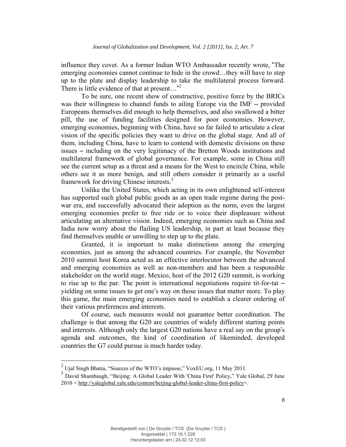influence they covet. As a former Indian WTO Ambassador recently wrote, "The emerging economies cannot continue to hide in the crowd…they will have to step up to the plate and display leadership to take the multilateral process forward. There is little evidence of that at present..."<sup>2</sup>

To be sure, one recent show of constructive, positive force by the BRICs was their willingness to channel funds to ailing Europe via the IMF – provided Europeans themselves did enough to help themselves, and also swallowed a bitter pill, the use of funding facilities designed for poor economies. However, emerging economies, beginning with China, have so far failed to articulate a clear vision of the specific policies they want to drive on the global stage. And all of them, including China, have to learn to contend with domestic divisions on these issues – including on the very legitimacy of the Bretton Woods institutions and multilateral framework of global governance. For example, some in China still see the current setup as a threat and a means for the West to encircle China, while others see it as more benign, and still others consider it primarily as a useful framework for driving Chinese interests.<sup>3</sup>

Unlike the United States, which acting in its own enlightened self-interest has supported such global public goods as an open trade regime during the postwar era, and successfully advocated their adoption as the norm, even the largest emerging economies prefer to free ride or to voice their displeasure without articulating an alternative vision. Indeed, emerging economies such as China and India now worry about the flailing US leadership, in part at least because they find themselves unable or unwilling to step up to the plate.

Granted, it is important to make distinctions among the emerging economies, just as among the advanced countries. For example, the November 2010 summit host Korea acted as an effective interlocutor between the advanced and emerging economies as well as non-members and has been a responsible stakeholder on the world stage. Mexico, host of the 2012 G20 summit, is working to rise up to the par. The point is international negotiations require tit-for-tat  $$ yielding on some issues to get one's way on those issues that matter more. To play this game, the main emerging economies need to establish a clearer ordering of their various preferences and interests.

Of course, such measures would not guarantee better coordination. The challenge is that among the G20 are countries of widely different starting points and interests. Although only the largest G20 nations have a real say on the group's agenda and outcomes, the kind of coordination of likeminded, developed countries the G7 could pursue is much harder today.

 2 Ujal Singh Bhatia, "Sources of the WTO's impasse," VoxEU.org, 11 May 2011.

<sup>&</sup>lt;sup>3</sup> David Shambaugh, "Beijing: A Global Leader With 'China First' Policy," Yale Global, 29 June 2010 < http://yaleglobal.yale.edu/content/beijing-global-leader-china-first-policy>.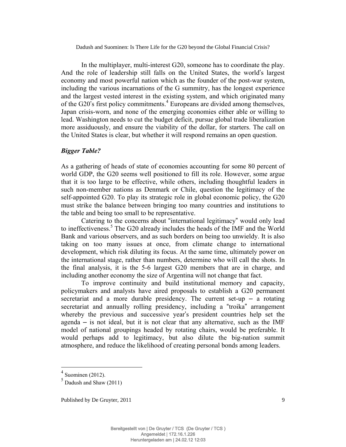In the multiplayer, multi-interest G20, someone has to coordinate the play. And the role of leadership still falls on the United States, the world's largest economy and most powerful nation which as the founder of the post-war system, including the various incarnations of the G summitry, has the longest experience and the largest vested interest in the existing system, and which originated many of the G20's first policy commitments.<sup>4</sup> Europeans are divided among themselves, Japan crisis-worn, and none of the emerging economies either able or willing to lead. Washington needs to cut the budget deficit, pursue global trade liberalization more assiduously, and ensure the viability of the dollar, for starters. The call on the United States is clear, but whether it will respond remains an open question.

## *Bigger Table?*

As a gathering of heads of state of economies accounting for some 80 percent of world GDP, the G20 seems well positioned to fill its role. However, some argue that it is too large to be effective, while others, including thoughtful leaders in such non-member nations as Denmark or Chile, question the legitimacy of the self-appointed G20. To play its strategic role in global economic policy, the G20 must strike the balance between bringing too many countries and institutions to the table and being too small to be representative.

Catering to the concerns about "international legitimacy" would only lead to ineffectiveness.<sup>5</sup> The G20 already includes the heads of the IMF and the World Bank and various observers, and as such borders on being too unwieldy. It is also taking on too many issues at once, from climate change to international development, which risk diluting its focus. At the same time, ultimately power on the international stage, rather than numbers, determine who will call the shots. In the final analysis, it is the 5-6 largest G20 members that are in charge, and including another economy the size of Argentina will not change that fact.

To improve continuity and build institutional memory and capacity, policymakers and analysts have aired proposals to establish a G20 permanent secretariat and a more durable presidency. The current set-up – a rotating secretariat and annually rolling presidency, including a "troika" arrangement whereby the previous and successive year's president countries help set the agenda – is not ideal, but it is not clear that any alternative, such as the IMF model of national groupings headed by rotating chairs, would be preferable. It would perhaps add to legitimacy, but also dilute the big-nation summit atmosphere, and reduce the likelihood of creating personal bonds among leaders.

 $\overline{a}$ 

 $<sup>4</sup>$  Suominen (2012).</sup>

 $<sup>5</sup>$  Dadush and Shaw (2011)</sup>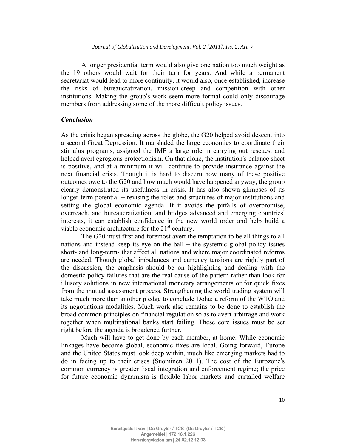A longer presidential term would also give one nation too much weight as the 19 others would wait for their turn for years. And while a permanent secretariat would lead to more continuity, it would also, once established, increase the risks of bureaucratization, mission-creep and competition with other institutions. Making the group's work seem more formal could only discourage members from addressing some of the more difficult policy issues.

### *Conclusion*

As the crisis began spreading across the globe, the G20 helped avoid descent into a second Great Depression. It marshaled the large economies to coordinate their stimulus programs, assigned the IMF a large role in carrying out rescues, and helped avert egregious protectionism. On that alone, the institution's balance sheet is positive, and at a minimum it will continue to provide insurance against the next financial crisis. Though it is hard to discern how many of these positive outcomes owe to the G20 and how much would have happened anyway, the group clearly demonstrated its usefulness in crisis. It has also shown glimpses of its longer-term potential – revising the roles and structures of major institutions and setting the global economic agenda. If it avoids the pitfalls of overpromise, overreach, and bureaucratization, and bridges advanced and emerging countries' interests, it can establish confidence in the new world order and help build a viable economic architecture for the  $21<sup>st</sup>$  century.

The G20 must first and foremost avert the temptation to be all things to all nations and instead keep its eye on the ball – the systemic global policy issues short- and long-term- that affect all nations and where major coordinated reforms are needed. Though global imbalances and currency tensions are rightly part of the discussion, the emphasis should be on highlighting and dealing with the domestic policy failures that are the real cause of the pattern rather than look for illusory solutions in new international monetary arrangements or for quick fixes from the mutual assessment process. Strengthening the world trading system will take much more than another pledge to conclude Doha: a reform of the WTO and its negotiations modalities. Much work also remains to be done to establish the broad common principles on financial regulation so as to avert arbitrage and work together when multinational banks start failing. These core issues must be set right before the agenda is broadened further.

Much will have to get done by each member, at home. While economic linkages have become global, economic fixes are local. Going forward, Europe and the United States must look deep within, much like emerging markets had to do in facing up to their crises (Suominen 2011). The cost of the Eurozone's common currency is greater fiscal integration and enforcement regime; the price for future economic dynamism is flexible labor markets and curtailed welfare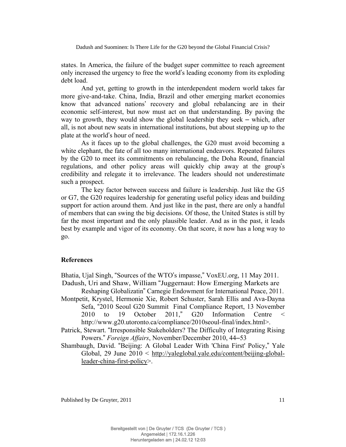states. In America, the failure of the budget super committee to reach agreement only increased the urgency to free the world's leading economy from its exploding debt load.

And yet, getting to growth in the interdependent modern world takes far more give-and-take. China, India, Brazil and other emerging market economies know that advanced nations' recovery and global rebalancing are in their economic self-interest, but now must act on that understanding. By paving the way to growth, they would show the global leadership they seek – which, after all, is not about new seats in international institutions, but about stepping up to the plate at the world's hour of need.

As it faces up to the global challenges, the G20 must avoid becoming a white elephant, the fate of all too many international endeavors. Repeated failures by the G20 to meet its commitments on rebalancing, the Doha Round, financial regulations, and other policy areas will quickly chip away at the group's credibility and relegate it to irrelevance. The leaders should not underestimate such a prospect.

The key factor between success and failure is leadership. Just like the G5 or G7, the G20 requires leadership for generating useful policy ideas and building support for action around them. And just like in the past, there are only a handful of members that can swing the big decisions. Of those, the United States is still by far the most important and the only plausible leader. And as in the past, it leads best by example and vigor of its economy. On that score, it now has a long way to go.

## **References**

Bhatia, Ujal Singh, "Sources of the WTO's impasse," VoxEU.org, 11 May 2011. Dadush, Uri and Shaw, William "Juggernaut: How Emerging Markets are

Reshaping Globalizatin" Carnegie Endowment for International Peace, 2011. Montpetit, Krystel, Hermonie Xie, Robert Schuster, Sarah Ellis and Ava-Dayna Sefa, "2010 Seoul G20 Summit Final Compliance Report, 13 November 2010 to 19 October 2011," G20 Information Centre < http://www.g20.utoronto.ca/compliance/2010seoul-final/index.html>.

Patrick, Stewart. "Irresponsible Stakeholders? The Difficulty of Integrating Rising Powers." *Foreign Affairs*, November/December 2010, 44–53

Shambaugh, David. "Beijing: A Global Leader With 'China First' Policy," Yale Global, 29 June 2010 < http://yaleglobal.yale.edu/content/beijing-globalleader-china-first-policy>.